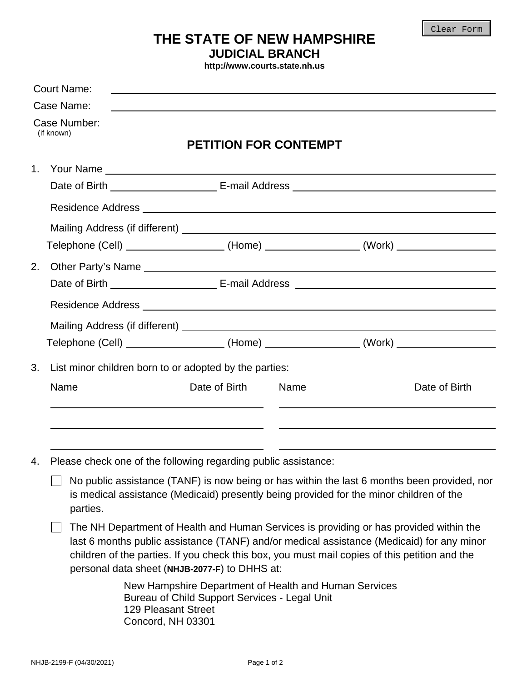## **THE STATE OF NEW HAMPSHIRE**

**JUDICIAL BRANCH** 

**http://www.courts.state.nh.us**

| <b>Court Name:</b><br>Case Name:<br>Case Number:<br>(if known) |                                                                                                                                                                                                    |                                                                                                                                                                                                                                                                                                                                       | <u> 1989 - Johann Stein, marwolaethau a bhann an t-Amhain ann an t-Amhain an t-Amhain an t-Amhain an t-Amhain an </u> |      |  |                                                                                   |  |  |
|----------------------------------------------------------------|----------------------------------------------------------------------------------------------------------------------------------------------------------------------------------------------------|---------------------------------------------------------------------------------------------------------------------------------------------------------------------------------------------------------------------------------------------------------------------------------------------------------------------------------------|-----------------------------------------------------------------------------------------------------------------------|------|--|-----------------------------------------------------------------------------------|--|--|
|                                                                |                                                                                                                                                                                                    |                                                                                                                                                                                                                                                                                                                                       |                                                                                                                       |      |  |                                                                                   |  |  |
|                                                                |                                                                                                                                                                                                    |                                                                                                                                                                                                                                                                                                                                       |                                                                                                                       |      |  |                                                                                   |  |  |
|                                                                |                                                                                                                                                                                                    | <b>PETITION FOR CONTEMPT</b>                                                                                                                                                                                                                                                                                                          |                                                                                                                       |      |  |                                                                                   |  |  |
| 1.                                                             |                                                                                                                                                                                                    |                                                                                                                                                                                                                                                                                                                                       |                                                                                                                       |      |  |                                                                                   |  |  |
|                                                                |                                                                                                                                                                                                    |                                                                                                                                                                                                                                                                                                                                       |                                                                                                                       |      |  |                                                                                   |  |  |
|                                                                |                                                                                                                                                                                                    |                                                                                                                                                                                                                                                                                                                                       |                                                                                                                       |      |  |                                                                                   |  |  |
|                                                                |                                                                                                                                                                                                    |                                                                                                                                                                                                                                                                                                                                       |                                                                                                                       |      |  |                                                                                   |  |  |
|                                                                |                                                                                                                                                                                                    |                                                                                                                                                                                                                                                                                                                                       | Telephone (Cell) ___________________(Home) _______________(Work) _______________                                      |      |  |                                                                                   |  |  |
| 2.                                                             |                                                                                                                                                                                                    |                                                                                                                                                                                                                                                                                                                                       |                                                                                                                       |      |  |                                                                                   |  |  |
|                                                                |                                                                                                                                                                                                    |                                                                                                                                                                                                                                                                                                                                       |                                                                                                                       |      |  |                                                                                   |  |  |
|                                                                |                                                                                                                                                                                                    |                                                                                                                                                                                                                                                                                                                                       |                                                                                                                       |      |  |                                                                                   |  |  |
|                                                                |                                                                                                                                                                                                    |                                                                                                                                                                                                                                                                                                                                       |                                                                                                                       |      |  |                                                                                   |  |  |
|                                                                |                                                                                                                                                                                                    |                                                                                                                                                                                                                                                                                                                                       |                                                                                                                       |      |  | Telephone (Cell) _____________________(Home) _________________(Work) ____________ |  |  |
| 3.                                                             | List minor children born to or adopted by the parties:                                                                                                                                             |                                                                                                                                                                                                                                                                                                                                       |                                                                                                                       |      |  |                                                                                   |  |  |
|                                                                | Name                                                                                                                                                                                               |                                                                                                                                                                                                                                                                                                                                       | Date of Birth                                                                                                         | Name |  | Date of Birth                                                                     |  |  |
|                                                                |                                                                                                                                                                                                    |                                                                                                                                                                                                                                                                                                                                       |                                                                                                                       |      |  |                                                                                   |  |  |
| 4.                                                             | Please check one of the following regarding public assistance:                                                                                                                                     |                                                                                                                                                                                                                                                                                                                                       |                                                                                                                       |      |  |                                                                                   |  |  |
|                                                                | No public assistance (TANF) is now being or has within the last 6 months been provided, nor<br>is medical assistance (Medicaid) presently being provided for the minor children of the<br>parties. |                                                                                                                                                                                                                                                                                                                                       |                                                                                                                       |      |  |                                                                                   |  |  |
|                                                                |                                                                                                                                                                                                    | The NH Department of Health and Human Services is providing or has provided within the<br>last 6 months public assistance (TANF) and/or medical assistance (Medicaid) for any minor<br>children of the parties. If you check this box, you must mail copies of this petition and the<br>personal data sheet (NHJB-2077-F) to DHHS at: |                                                                                                                       |      |  |                                                                                   |  |  |
|                                                                |                                                                                                                                                                                                    | New Hampshire Department of Health and Human Services<br>Bureau of Child Support Services - Legal Unit<br><b>129 Pleasant Street</b><br>Concord, NH 03301                                                                                                                                                                             |                                                                                                                       |      |  |                                                                                   |  |  |